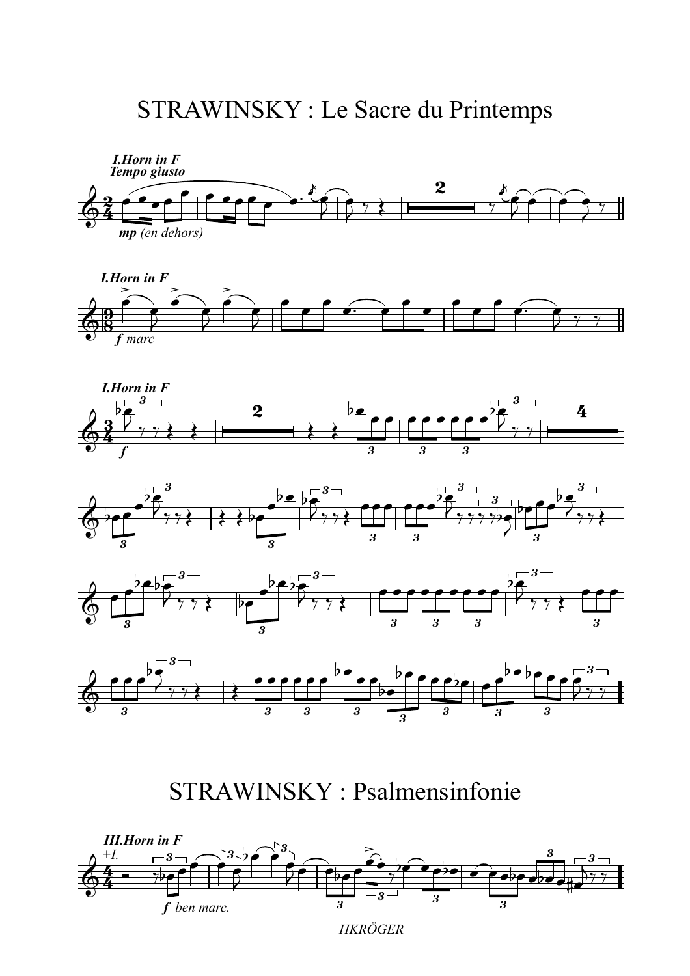## STRAWINSKY : Le Sacre du Printemps













STRAWINSKY : Psalmensinfonie

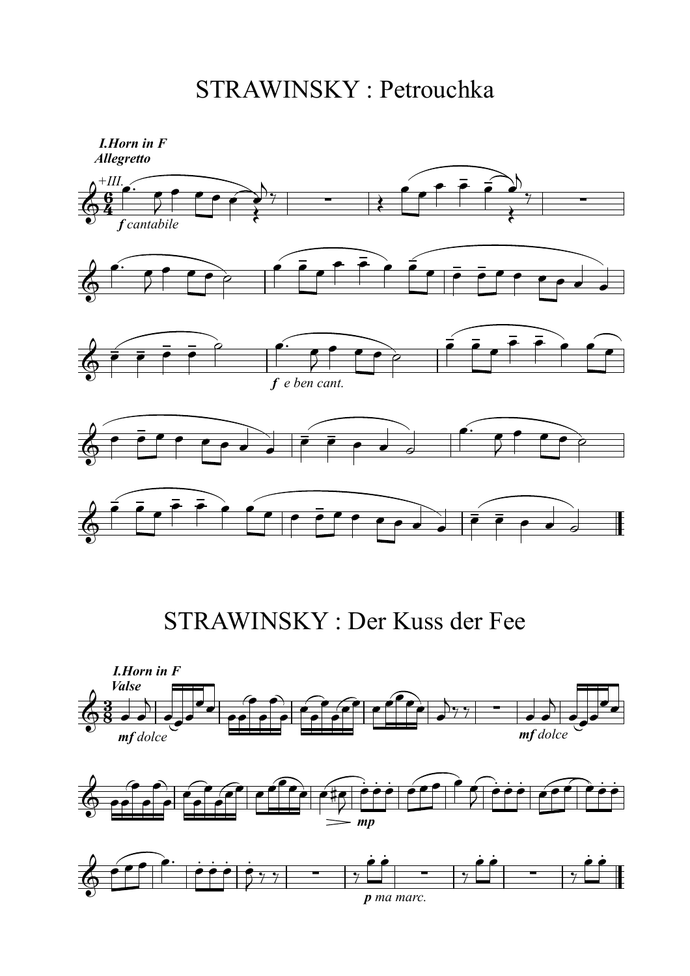STRAWINSKY : Petrouchka



STRAWINSKY : Der Kuss der Fee